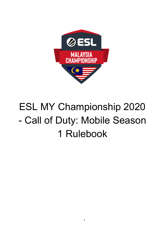

# ESL MY Championship 2020 - Call of Duty: Mobile Season 1 Rulebook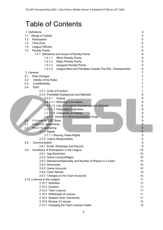# Table of Contents

| Range of Validity<br>5<br>1.1<br>1.2<br>5<br>Participants<br>5<br>1.3<br>Time Zone<br>5<br>League Officials<br>1.4<br>1.5<br><b>Penalty Points</b><br>6<br>1.5.1 Definitions and Scope of Penalty Points<br>6<br>1.5.1.1<br><b>Minor Penalty Points</b><br>6<br>1.5.1.2<br><b>Major Penalty Points</b><br>6<br>1.5.1.3 Assigned Penalty Points<br>6<br>1.5.1.4<br>League Bans and Penalties Outside The ESL Championship<br>6<br>2 General<br>7<br>7<br>2.1<br><b>Rule Changes</b><br>2.2<br>Validity of the Rules<br>7<br>2.3<br>Confidentiality<br>7<br><b>ESIC</b><br>2.4<br>7<br>2.4.1 Code of Conduct<br>7<br>2.4.2 Prohibited Substances and Methods<br>8<br>8<br>2.4.2.1<br>Doping<br>8<br>2.4.2.1.1 Refusing to be tested<br>2.4.2.1.2 List of Prohibited Substances and Methods<br>8<br>2.4.2.1.3 Prescribed medication<br>8<br>2.4.2.1.4 Categories of Doping<br>8<br>8<br>2.4.2.2 Alcohol or other psychoactive drugs<br>2.5<br><b>Publisher or ESIC Bans</b><br>9<br>9<br>2.6<br><b>Additional Agreements</b><br>2.7<br>Match Broadcasting<br>9<br>9<br>2.7.1 Rights<br>2.7.1.1 Waiving These Rights<br>9<br>2.7.2 Teams Responsibility<br>9<br>2.8<br>Communication<br>9<br>9<br>2.8.1 Email, WhatsApp and Discord<br>2.9<br>Conditions of Participation in the League<br>10<br>2.9.1 Age Restriction<br>10<br>2.9.2 Home Country/Region<br>10<br>2.9.3 Residence/Nationality and Number of Players in a Team<br>10<br>2.9.4 Nicknames<br>10<br>2.9.5 Game Accounts<br>10<br>2.9.6 Team Names<br>10<br>2.9.7 Changes on the Team Accounts<br>10<br>2.10 Licences in the League<br>11 |  | Definitions<br>1. | 5  |  |  |  |
|---------------------------------------------------------------------------------------------------------------------------------------------------------------------------------------------------------------------------------------------------------------------------------------------------------------------------------------------------------------------------------------------------------------------------------------------------------------------------------------------------------------------------------------------------------------------------------------------------------------------------------------------------------------------------------------------------------------------------------------------------------------------------------------------------------------------------------------------------------------------------------------------------------------------------------------------------------------------------------------------------------------------------------------------------------------------------------------------------------------------------------------------------------------------------------------------------------------------------------------------------------------------------------------------------------------------------------------------------------------------------------------------------------------------------------------------------------------------------------------------------------------------------------------------------------------------------------------------------|--|-------------------|----|--|--|--|
|                                                                                                                                                                                                                                                                                                                                                                                                                                                                                                                                                                                                                                                                                                                                                                                                                                                                                                                                                                                                                                                                                                                                                                                                                                                                                                                                                                                                                                                                                                                                                                                                   |  |                   |    |  |  |  |
|                                                                                                                                                                                                                                                                                                                                                                                                                                                                                                                                                                                                                                                                                                                                                                                                                                                                                                                                                                                                                                                                                                                                                                                                                                                                                                                                                                                                                                                                                                                                                                                                   |  |                   |    |  |  |  |
|                                                                                                                                                                                                                                                                                                                                                                                                                                                                                                                                                                                                                                                                                                                                                                                                                                                                                                                                                                                                                                                                                                                                                                                                                                                                                                                                                                                                                                                                                                                                                                                                   |  |                   |    |  |  |  |
|                                                                                                                                                                                                                                                                                                                                                                                                                                                                                                                                                                                                                                                                                                                                                                                                                                                                                                                                                                                                                                                                                                                                                                                                                                                                                                                                                                                                                                                                                                                                                                                                   |  |                   |    |  |  |  |
|                                                                                                                                                                                                                                                                                                                                                                                                                                                                                                                                                                                                                                                                                                                                                                                                                                                                                                                                                                                                                                                                                                                                                                                                                                                                                                                                                                                                                                                                                                                                                                                                   |  |                   |    |  |  |  |
|                                                                                                                                                                                                                                                                                                                                                                                                                                                                                                                                                                                                                                                                                                                                                                                                                                                                                                                                                                                                                                                                                                                                                                                                                                                                                                                                                                                                                                                                                                                                                                                                   |  |                   |    |  |  |  |
|                                                                                                                                                                                                                                                                                                                                                                                                                                                                                                                                                                                                                                                                                                                                                                                                                                                                                                                                                                                                                                                                                                                                                                                                                                                                                                                                                                                                                                                                                                                                                                                                   |  |                   |    |  |  |  |
|                                                                                                                                                                                                                                                                                                                                                                                                                                                                                                                                                                                                                                                                                                                                                                                                                                                                                                                                                                                                                                                                                                                                                                                                                                                                                                                                                                                                                                                                                                                                                                                                   |  |                   |    |  |  |  |
|                                                                                                                                                                                                                                                                                                                                                                                                                                                                                                                                                                                                                                                                                                                                                                                                                                                                                                                                                                                                                                                                                                                                                                                                                                                                                                                                                                                                                                                                                                                                                                                                   |  |                   |    |  |  |  |
|                                                                                                                                                                                                                                                                                                                                                                                                                                                                                                                                                                                                                                                                                                                                                                                                                                                                                                                                                                                                                                                                                                                                                                                                                                                                                                                                                                                                                                                                                                                                                                                                   |  |                   |    |  |  |  |
|                                                                                                                                                                                                                                                                                                                                                                                                                                                                                                                                                                                                                                                                                                                                                                                                                                                                                                                                                                                                                                                                                                                                                                                                                                                                                                                                                                                                                                                                                                                                                                                                   |  |                   |    |  |  |  |
|                                                                                                                                                                                                                                                                                                                                                                                                                                                                                                                                                                                                                                                                                                                                                                                                                                                                                                                                                                                                                                                                                                                                                                                                                                                                                                                                                                                                                                                                                                                                                                                                   |  |                   |    |  |  |  |
|                                                                                                                                                                                                                                                                                                                                                                                                                                                                                                                                                                                                                                                                                                                                                                                                                                                                                                                                                                                                                                                                                                                                                                                                                                                                                                                                                                                                                                                                                                                                                                                                   |  |                   |    |  |  |  |
|                                                                                                                                                                                                                                                                                                                                                                                                                                                                                                                                                                                                                                                                                                                                                                                                                                                                                                                                                                                                                                                                                                                                                                                                                                                                                                                                                                                                                                                                                                                                                                                                   |  |                   |    |  |  |  |
|                                                                                                                                                                                                                                                                                                                                                                                                                                                                                                                                                                                                                                                                                                                                                                                                                                                                                                                                                                                                                                                                                                                                                                                                                                                                                                                                                                                                                                                                                                                                                                                                   |  |                   |    |  |  |  |
|                                                                                                                                                                                                                                                                                                                                                                                                                                                                                                                                                                                                                                                                                                                                                                                                                                                                                                                                                                                                                                                                                                                                                                                                                                                                                                                                                                                                                                                                                                                                                                                                   |  |                   |    |  |  |  |
|                                                                                                                                                                                                                                                                                                                                                                                                                                                                                                                                                                                                                                                                                                                                                                                                                                                                                                                                                                                                                                                                                                                                                                                                                                                                                                                                                                                                                                                                                                                                                                                                   |  |                   |    |  |  |  |
|                                                                                                                                                                                                                                                                                                                                                                                                                                                                                                                                                                                                                                                                                                                                                                                                                                                                                                                                                                                                                                                                                                                                                                                                                                                                                                                                                                                                                                                                                                                                                                                                   |  |                   |    |  |  |  |
|                                                                                                                                                                                                                                                                                                                                                                                                                                                                                                                                                                                                                                                                                                                                                                                                                                                                                                                                                                                                                                                                                                                                                                                                                                                                                                                                                                                                                                                                                                                                                                                                   |  |                   |    |  |  |  |
|                                                                                                                                                                                                                                                                                                                                                                                                                                                                                                                                                                                                                                                                                                                                                                                                                                                                                                                                                                                                                                                                                                                                                                                                                                                                                                                                                                                                                                                                                                                                                                                                   |  |                   |    |  |  |  |
|                                                                                                                                                                                                                                                                                                                                                                                                                                                                                                                                                                                                                                                                                                                                                                                                                                                                                                                                                                                                                                                                                                                                                                                                                                                                                                                                                                                                                                                                                                                                                                                                   |  |                   |    |  |  |  |
|                                                                                                                                                                                                                                                                                                                                                                                                                                                                                                                                                                                                                                                                                                                                                                                                                                                                                                                                                                                                                                                                                                                                                                                                                                                                                                                                                                                                                                                                                                                                                                                                   |  |                   |    |  |  |  |
|                                                                                                                                                                                                                                                                                                                                                                                                                                                                                                                                                                                                                                                                                                                                                                                                                                                                                                                                                                                                                                                                                                                                                                                                                                                                                                                                                                                                                                                                                                                                                                                                   |  |                   |    |  |  |  |
|                                                                                                                                                                                                                                                                                                                                                                                                                                                                                                                                                                                                                                                                                                                                                                                                                                                                                                                                                                                                                                                                                                                                                                                                                                                                                                                                                                                                                                                                                                                                                                                                   |  |                   |    |  |  |  |
|                                                                                                                                                                                                                                                                                                                                                                                                                                                                                                                                                                                                                                                                                                                                                                                                                                                                                                                                                                                                                                                                                                                                                                                                                                                                                                                                                                                                                                                                                                                                                                                                   |  |                   |    |  |  |  |
|                                                                                                                                                                                                                                                                                                                                                                                                                                                                                                                                                                                                                                                                                                                                                                                                                                                                                                                                                                                                                                                                                                                                                                                                                                                                                                                                                                                                                                                                                                                                                                                                   |  |                   |    |  |  |  |
|                                                                                                                                                                                                                                                                                                                                                                                                                                                                                                                                                                                                                                                                                                                                                                                                                                                                                                                                                                                                                                                                                                                                                                                                                                                                                                                                                                                                                                                                                                                                                                                                   |  |                   |    |  |  |  |
|                                                                                                                                                                                                                                                                                                                                                                                                                                                                                                                                                                                                                                                                                                                                                                                                                                                                                                                                                                                                                                                                                                                                                                                                                                                                                                                                                                                                                                                                                                                                                                                                   |  |                   |    |  |  |  |
|                                                                                                                                                                                                                                                                                                                                                                                                                                                                                                                                                                                                                                                                                                                                                                                                                                                                                                                                                                                                                                                                                                                                                                                                                                                                                                                                                                                                                                                                                                                                                                                                   |  |                   |    |  |  |  |
|                                                                                                                                                                                                                                                                                                                                                                                                                                                                                                                                                                                                                                                                                                                                                                                                                                                                                                                                                                                                                                                                                                                                                                                                                                                                                                                                                                                                                                                                                                                                                                                                   |  |                   |    |  |  |  |
|                                                                                                                                                                                                                                                                                                                                                                                                                                                                                                                                                                                                                                                                                                                                                                                                                                                                                                                                                                                                                                                                                                                                                                                                                                                                                                                                                                                                                                                                                                                                                                                                   |  |                   |    |  |  |  |
|                                                                                                                                                                                                                                                                                                                                                                                                                                                                                                                                                                                                                                                                                                                                                                                                                                                                                                                                                                                                                                                                                                                                                                                                                                                                                                                                                                                                                                                                                                                                                                                                   |  |                   |    |  |  |  |
|                                                                                                                                                                                                                                                                                                                                                                                                                                                                                                                                                                                                                                                                                                                                                                                                                                                                                                                                                                                                                                                                                                                                                                                                                                                                                                                                                                                                                                                                                                                                                                                                   |  |                   |    |  |  |  |
|                                                                                                                                                                                                                                                                                                                                                                                                                                                                                                                                                                                                                                                                                                                                                                                                                                                                                                                                                                                                                                                                                                                                                                                                                                                                                                                                                                                                                                                                                                                                                                                                   |  |                   |    |  |  |  |
|                                                                                                                                                                                                                                                                                                                                                                                                                                                                                                                                                                                                                                                                                                                                                                                                                                                                                                                                                                                                                                                                                                                                                                                                                                                                                                                                                                                                                                                                                                                                                                                                   |  |                   |    |  |  |  |
|                                                                                                                                                                                                                                                                                                                                                                                                                                                                                                                                                                                                                                                                                                                                                                                                                                                                                                                                                                                                                                                                                                                                                                                                                                                                                                                                                                                                                                                                                                                                                                                                   |  |                   |    |  |  |  |
|                                                                                                                                                                                                                                                                                                                                                                                                                                                                                                                                                                                                                                                                                                                                                                                                                                                                                                                                                                                                                                                                                                                                                                                                                                                                                                                                                                                                                                                                                                                                                                                                   |  |                   |    |  |  |  |
|                                                                                                                                                                                                                                                                                                                                                                                                                                                                                                                                                                                                                                                                                                                                                                                                                                                                                                                                                                                                                                                                                                                                                                                                                                                                                                                                                                                                                                                                                                                                                                                                   |  |                   |    |  |  |  |
|                                                                                                                                                                                                                                                                                                                                                                                                                                                                                                                                                                                                                                                                                                                                                                                                                                                                                                                                                                                                                                                                                                                                                                                                                                                                                                                                                                                                                                                                                                                                                                                                   |  |                   |    |  |  |  |
|                                                                                                                                                                                                                                                                                                                                                                                                                                                                                                                                                                                                                                                                                                                                                                                                                                                                                                                                                                                                                                                                                                                                                                                                                                                                                                                                                                                                                                                                                                                                                                                                   |  | 2.10.1 Definition | 11 |  |  |  |
| 2.10.2 Duration<br>11                                                                                                                                                                                                                                                                                                                                                                                                                                                                                                                                                                                                                                                                                                                                                                                                                                                                                                                                                                                                                                                                                                                                                                                                                                                                                                                                                                                                                                                                                                                                                                             |  |                   |    |  |  |  |
| 2.10.3 Team Licence<br>11                                                                                                                                                                                                                                                                                                                                                                                                                                                                                                                                                                                                                                                                                                                                                                                                                                                                                                                                                                                                                                                                                                                                                                                                                                                                                                                                                                                                                                                                                                                                                                         |  |                   |    |  |  |  |
| 2.10.4 Withdrawal of Licence<br>11                                                                                                                                                                                                                                                                                                                                                                                                                                                                                                                                                                                                                                                                                                                                                                                                                                                                                                                                                                                                                                                                                                                                                                                                                                                                                                                                                                                                                                                                                                                                                                |  |                   |    |  |  |  |
| 2.10.5 Multiple Team Ownership<br>11                                                                                                                                                                                                                                                                                                                                                                                                                                                                                                                                                                                                                                                                                                                                                                                                                                                                                                                                                                                                                                                                                                                                                                                                                                                                                                                                                                                                                                                                                                                                                              |  |                   |    |  |  |  |
| 2.10.6 Review of License<br>12                                                                                                                                                                                                                                                                                                                                                                                                                                                                                                                                                                                                                                                                                                                                                                                                                                                                                                                                                                                                                                                                                                                                                                                                                                                                                                                                                                                                                                                                                                                                                                    |  |                   |    |  |  |  |
| 2.10.7 Changing the Team License Holder<br>12                                                                                                                                                                                                                                                                                                                                                                                                                                                                                                                                                                                                                                                                                                                                                                                                                                                                                                                                                                                                                                                                                                                                                                                                                                                                                                                                                                                                                                                                                                                                                     |  |                   |    |  |  |  |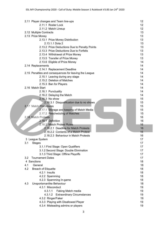|  |                                | 2.11 Player changes and Team line-ups                            | 12 |  |  |  |
|--|--------------------------------|------------------------------------------------------------------|----|--|--|--|
|  |                                | 2.11.1 Roster Lock                                               | 12 |  |  |  |
|  |                                | 2.11.2 Match Lineup                                              | 12 |  |  |  |
|  |                                | 2.12 Multiple Contracts                                          | 13 |  |  |  |
|  |                                | 2.13 Prize Money                                                 | 13 |  |  |  |
|  |                                | 2.13.1 Prize Money Distribution                                  | 13 |  |  |  |
|  |                                | 2.13.1.1 Dota 2                                                  | 13 |  |  |  |
|  |                                | 2.13.2 Prize Deductions Due to Penalty Points                    | 13 |  |  |  |
|  |                                | 2.13.3 Prize Deductions Due to Forfeits                          | 13 |  |  |  |
|  |                                | 13                                                               |    |  |  |  |
|  |                                | 13                                                               |    |  |  |  |
|  |                                | 2.13.5 Transfer of Prize Money<br>2.13.6 Eligible of Prize Money | 14 |  |  |  |
|  |                                | 2.14 Replacements                                                | 14 |  |  |  |
|  |                                | 2.14.1 Replacement Deadline                                      | 14 |  |  |  |
|  |                                | 2.15 Penalties and consequences for leaving the League           | 14 |  |  |  |
|  |                                | 2.15.1 Leaving during any stage                                  | 14 |  |  |  |
|  |                                | 2.15.2 Deletion of Matches                                       | 14 |  |  |  |
|  |                                | 2.15.3 Ban for Players                                           | 14 |  |  |  |
|  |                                | 2.16 Match Start                                                 | 14 |  |  |  |
|  |                                | 2.16.1 Punctuality                                               | 14 |  |  |  |
|  |                                | 2.16.2 Delaying the Match                                        | 14 |  |  |  |
|  |                                | 2.16.3 No show                                                   | 15 |  |  |  |
|  |                                | 2.16.3.1 Disqualification due to no shows                        | 15 |  |  |  |
|  |                                | 2.17 Match Procedures                                            | 15 |  |  |  |
|  |                                | 2.17.1 Storage and keeping of Match Media                        | 15 |  |  |  |
|  |                                | 2.17.2 Rescheduling of Matches                                   | 15 |  |  |  |
|  |                                | 2.18 Match Protests                                              | 16 |  |  |  |
|  |                                | 2.18.1 Definition                                                |    |  |  |  |
|  |                                | 16                                                               |    |  |  |  |
|  |                                | 2.18.2.1 Deadline for Match Protests                             |    |  |  |  |
|  |                                | 16                                                               |    |  |  |  |
|  |                                | 2.18.2.3 Behaviour in Match Protests                             | 16 |  |  |  |
|  | 3 League System                | 17                                                               |    |  |  |  |
|  | 3.1                            | <b>Stages</b>                                                    |    |  |  |  |
|  |                                | 3.1.1 First Stage: Open Qualifiers                               | 17 |  |  |  |
|  |                                | 3.1.2 Second Stage: Double Elimination                           | 17 |  |  |  |
|  |                                | 3.1.3 Third Stage: Offline Playoffs                              | 17 |  |  |  |
|  | <b>Tournament Dates</b><br>3.2 |                                                                  |    |  |  |  |
|  |                                | 4 Sanctions                                                      | 18 |  |  |  |
|  | 4.1                            | General                                                          | 18 |  |  |  |
|  | 4.2                            | <b>Breach of Etiquette</b>                                       | 18 |  |  |  |
|  |                                | 4.2.1 Insults                                                    | 18 |  |  |  |
|  |                                | 4.2.2 Spamming                                                   | 18 |  |  |  |
|  |                                | 4.2.3 Spamming In-game                                           | 18 |  |  |  |
|  | 4.3                            | Unsportsmanlike Behaviour                                        | 18 |  |  |  |
|  |                                | 4.3.1 Misconduct                                                 | 19 |  |  |  |
|  | 4.3.1.1<br>Faking Match media  |                                                                  |    |  |  |  |
|  |                                | <b>Extraordinary Circumstances</b><br>4.3.1.2                    | 19 |  |  |  |
|  |                                | 4.3.2 Ringer/Faker                                               | 19 |  |  |  |
|  |                                | 4.3.3 Playing with Disallowed Player                             | 19 |  |  |  |
|  |                                | 4.3.4 Misleading admins or players                               | 19 |  |  |  |
|  |                                |                                                                  |    |  |  |  |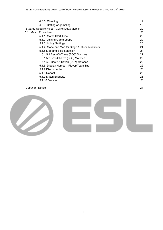| 4.3.5 Cheating                                  | 19 |
|-------------------------------------------------|----|
| 4.3.6 Betting or gambling                       | 19 |
| 5 Game Specific Rules - Call of Duty: Mobile    | 20 |
| Match Procedure<br>5.1                          | 20 |
| 5.1.1 Match Start Time                          | 20 |
| 5.1.2 Joining Game Lobby                        | 20 |
| 5.1.3 Lobby Settings                            | 20 |
| 5.1.4 Mode and Map for Stage 1: Open Qualifiers | 21 |
| 5.1.5 Map and Side Selection                    | 21 |
| 5.1.5.1 Best-Of-Three (BO3) Matches             | 21 |
| 5.1.5.2 Best-Of-Five (BO5) Matches              | 22 |
| 5.1.5.3 Best-Of-Seven (BO7) Matches             | 22 |
| 5.1.6 Display Names - Player/Team Tag           | 22 |
| 5.1.7 Disconnection                             | 23 |
| 5.1.8 Rehost                                    | 23 |
| 5.1.9 Match Etiquette                           | 23 |
| 5.1.10 Devices                                  | 23 |
|                                                 |    |

#### [Copyright](#page-23-0) Notice 24

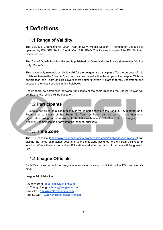# <span id="page-4-0"></span>**1 Definitions**

# <span id="page-4-1"></span>**1.1 Range of Validity**

The ESL MY Championship 2020 - Call of Duty: Mobile Season 1 (hereinafter "League") is operated by ESL SEA Pte Ltd (hereinafter "ESL SEA"). This League is a part of the ESL National Championship.

The Call of Duty®: Mobile - Garena is published by Garena Mobile Private (hereinafter "Call of Duty: Mobile").

This is the only rulebook which is valid for the League, it's participants (for the purpose of this Rulebook hereinafter "Team(s)") and all matches played within the scope of the League. With his participation, the Team and its players (hereinafter "Player(s)") state that they understand and accept all the rules specified in this Rulebook.

<span id="page-4-2"></span>Should there be differences between translations of the same rulebook the English version will be the one the rulings will be based on.

# **1.2 Participants**

A League participant is a Team or Player that is participating in the League. Any member of a Team is a participant of that Team. No Team or Player can be part of more than one organization taking part in seasons of Intel Extreme Masters, ESL One, ESL Pro League, ESL National Championships or any of those leagues' qualifiers.

# <span id="page-4-3"></span>**1.3 Time Zone**

The ESL website [\(https://play.eslgaming.com/callofduty/asia/codm/challenger/codmleague](https://play.eslgaming.com/callofduty/asia/codm/challenger/codmleague)) will display the times of matches according to the time-zone assigned to them from their Geo-IP location. Where there is not a Geo-IP location available then any official time will be given in GMT.

# <span id="page-4-4"></span>**1.4 League Officials**

Each Team can contact the League administration via support ticket on the ESL website, via email.

League Administration:

```
Anthony Bong - a.bong@eslgaming.com
c.houng@eslgaming.com
a.zikri@staff.eslgaming.com
a.safwan@staff.eslgaming.com
```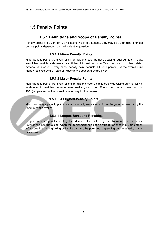# <span id="page-5-0"></span>**1.5 Penalty Points**

# **1.5.1 Definitions and Scope of Penalty Points**

<span id="page-5-2"></span><span id="page-5-1"></span>Penalty points are given for rule violations within the League, they may be either minor or major penalty points dependent on the incident in question.

#### **1.5.1.1 Minor Penalty Points**

Minor penalty points are given for minor incidents such as not uploading required match media, insufficient match statements, insufficient information on a Team account or other related material, and so on. Every minor penalty point deducts 1% (one percent) of the overall prize money received by the Team or Player in the season they are given.

#### **1.5.1.2 Major Penalty Points**

Major penalty points are given for major incidents such as deliberately deceiving admins, failing to show up for matches, repeated rule breaking, and so on. Every major penalty point deducts 10% (ten percent) of the overall prize money for that season.

#### **1.5.1.3 Assigned Penalty Points**

<span id="page-5-4"></span><span id="page-5-3"></span>Minor and major penalty points are not mutually exclusive and may be given as seen fit by the League administration.

#### **1.5.1.4 League Bans and Penalties**

League bans and penalty points gathered in any other ESL League or Tournament do not apply towards the League except when the punishment has been awarded for cheating. Some other infractions like ringing/faking or insults can also be punished, depending on the severity of the misbehaviour.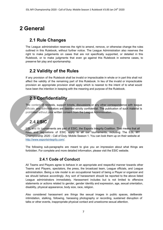# <span id="page-6-0"></span>**2 General**

# **2.1 Rule Changes**

The League administration reserves the right to amend, remove, or otherwise change the rules outlined in this Rulebook, without further notice. The League Administration also reserves the right to make judgements on cases that are not specifically supported, or detailed in this Rulebook, or to make judgments that even go against this Rulebook in extreme cases, to preserve fair play and sportsmanship.

# <span id="page-6-1"></span>**2.2 Validity of the Rules**

If any provision of the Rulebook shall be invalid or impracticable in whole or in part this shall not affect the validity of the remaining part of this Rulebook. In lieu of the invalid or impracticable provision an appropriate provision shall apply which is nearest to the intent of to what would have been the intention in keeping with the meaning and purpose of the Rulebook.

# <span id="page-6-2"></span>**2.3 Confidentiality**

The content of protests, support tickets, discussions or any other correspondence with league officials and administrators are deemed strictly confidential. The publication of such material is prohibited without prior written consent from the League Administration.

# <span id="page-6-3"></span>**2.4 ESIC**

ESL and its tournaments are part of ESIC, the Esports Integrity Coalition. That means that all rules and regulations of ESIC apply to all our tournaments, including The ESL MY Championship 2020 - Call of Duty: Mobile Season 1. You can look them up on their website at [http://www.esportsintegrity.com/.](http://www.esportsintegrity.com/)

<span id="page-6-4"></span>The following sub-paragraphs are meant to give you an impression about what things are forbidden. For complete and more detailed information, please visit the ESIC website.

# **2.4.1 Code of Conduct**

All Teams and Players agree to behave in an appropriate and respectful manner towards other Teams and Players, spectators, the press, the broadcast team, League officials, and League administration. Being a role model is an occupational hazard of being a Player or organizer and we should behave accordingly. Any sort of harassment should be reported to the above listed League administrators immediately. Harassment includes but is not limited to offensive statements or actions related to gender, gender identity and expression, age, sexual orientation, disability, physical appearance, body size, race, religion.

Also considered harassment are things like sexual images in public spaces, deliberate intimidation, stalking, following, harassing photography or recording, sustained disruption of talks or other events, inappropriate physical contact and unwelcome sexual attention.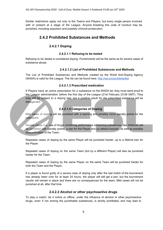<span id="page-7-0"></span>Similar restrictions apply not only to the Teams and Players, but every single person involved with or present at a stage of the League. Anyone breaking this code of conduct may be punished, including expulsion and possibly criminal prosecution.

#### **2.4.2 Prohibited Substances and Methods**

#### **2.4.2.1 Doping**

#### **2.4.2.1.1 Refusing to be tested**

<span id="page-7-3"></span><span id="page-7-2"></span><span id="page-7-1"></span>Refusing to be tested is considered doping. Punishments will be the same as for severe cases of substance abuse.

#### **2.4.2.1.2 List of Prohibited Substances and Methods**

<span id="page-7-4"></span>The List of Prohibited Substances and Methods created by the World Anti-Doping Agency (WADA) is valid for the League. The list can be found here: <http://esl.pm/prohibitedlist>

#### **2.4.2.1.3 Prescribed medication**

If Players have an active prescription for a substance on the WADA list, they must send proof to the League administration before the first day of the League (21st February 23:59 GMT). They may still be subject to a doping test, but a positive result for the prescribed substance will be disregarded.

#### **2.4.2.1.4 Categories of Doping**

<span id="page-7-5"></span>Mild cases of doping will be punished with a warning and possibly minor penalty points for the participant.

Severe cases (i.e. use of drugs containing performance enhancing substances, like Adderall) will be punished with penalty points, a ban for the Player and (a) default loss(es), as well as possibly disqualification of the Team.

Repeated cases of doping by the same Player will be punished harder, up to a lifetime ban for the Player.

Repeated cases of doping on the same Team (but by a different Player) will also be punished harder for the Team.

Repeated cases of doping by the same Player on the same Team will be punished harder for both the Team and the Player.

If a player is found guilty of a severe case of doping only after the last match of the tournament has already been over for at least 24 hours, the player will still get a ban, but the tournament results will remain in place and there are no consequences for the team. Mild cases will not be punished at all, after that time.

#### **2.4.2.2 Alcohol or other psychoactive drugs**

<span id="page-7-6"></span>To play a match, be it online or offline, under the influence of alcohol or other psychoactive drugs, even if not among the punishable substances, is strictly prohibited, and may lead to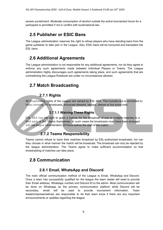<span id="page-8-0"></span>severe punishment. Moderate consumption of alcohol outside the active tournament hours for a participant is permitted if not in conflict with local/national law.

# **2.5 Publisher or ESIC Bans**

The League administration reserves the right to refuse players who have standing bans from the game publisher to take part in the League. Also, ESIC bans will be honoured and translated into ESL bans.

# **2.6 Additional Agreements**

The League administration is not responsible for any additional agreements, nor do they agree to enforce any such agreements made between individual Players or Teams. The League administration highly discourages such agreements taking place, and such agreements that are contradicting the League Rulebook are under no circumstances allowed.

# <span id="page-8-1"></span>**2.7 Match Broadcasting**

# **2.7.1 Rights**

<span id="page-8-3"></span><span id="page-8-2"></span>All broadcasting rights of the League are owned by ESL SEA. This includes but is not limited to: Video streams, TV broadcasts, shoutcast streams, replays, demos or live score bots.

#### **2.7.1.1 Waiving These Rights**

<span id="page-8-4"></span>ESL SEA has the right to grant a licence for the broadcast of one or multiple matches to a third party or the Teams themselves. In such cases the broadcasts must have been arranged with the league administration 24 hours before the start of the match.

# **2.7.2 Teams Responsibility**

Teams cannot refuse to have their matches broadcast by ESL-authorized broadcasts, nor can they choose in what manner the match will be broadcast. The broadcast can only be rejected by the league administration. The Teams agree to make sufficient accommodation so that broadcasting of matches can take place.

# <span id="page-8-5"></span>**2.8 Communication**

# **2.8.1 Email, WhatsApp and Discord**

<span id="page-8-6"></span>The main official communication method of the League is Email, WhatsApp and Discord. Once a team has successfully qualified for the league the team leader will need to provide their Email address, Whatsapp number and Discord ID to the admin. Most communication will be done on Whatsapp as the primary communication platform while Discord will be secondary, email will be used to provide tournament information. Team leaders/representatives are responsible to let their team know if there are any important announcements or updates regarding the league.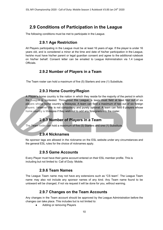# <span id="page-9-0"></span>**2.9 Conditions of Participation in the League**

<span id="page-9-1"></span>The following conditions must be met to participate in the League.

#### **2.9.1 Age Restriction**

All Players participating in the League must be at least 16 years of age. If the player is under 16 years old, and is considered a minor at the time and date of his/her participation in the League, he/she must have his/her parent or legal guardian consent and agree to the additional rulebook on his/her behalf. Consent letter can be emailed to League Administration via 1.4 League **Officials** 

## **2.9.2 Number of Players in a Team**

The Team roster can hold a maximum of five (5) Starters and one (1) Substitute.

# **2.9.3 Home Country/Region**

A Player's home country is the nation in which they reside for the majority of the period in which the League is contested. Throughout this League, a team must field at least four out of six players whose home country is Malaysia. A team can field a maximum of two out of six foreign players. However this is not compulsory and purely optional. A team can field 6 players whose home country is Malaysia if they wish not to add any foreigners into the roster.

# **2.9.3 Number of Players in a Team**

The Team roster can hold a maximum of five (5) Starters and one (1) Substitute.

#### **2.9.4 Nicknames**

<span id="page-9-2"></span>No sponsor tags are allowed in the nickname on the ESL website under any circumstances and the general ESL rules for the choice of nicknames apply.

#### **2.9.5 Game Accounts**

<span id="page-9-3"></span>Every Player must have their game account entered on their ESL member profile. This is including but not limited to: Call of Duty: Mobile.

#### **2.9.6 Team Names**

<span id="page-9-4"></span>The League Team name may not have any extensions such as "CS team". The League Team name may also not include any sponsor names of any kind. Any Team name found to be untoward will be changed, if not via request it will be done for you, without warning.

# **2.9.7 Changes on the Team Accounts**

Any changes in the Team account should be approved by the League Administration before the changes can take place. This includes but is not limited to:

Adding or removing Players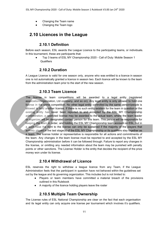- Changing the Team name
- Changing the Team logo

# <span id="page-10-0"></span>**2.10 Licences in the League**

### **2.10.1 Definition**

<span id="page-10-1"></span>Before each season, ESL awards the League Licence to the participating teams, or individuals. In this tournament, these are participants that:

Top 3 teams of ESL MY Championship 2020 - Call of Duty: Mobile Season 1 **Qualifiers** 

#### **2.10.2 Duration**

<span id="page-10-3"></span><span id="page-10-2"></span>A League Licence is valid for one season only, anyone who was entitled to a licence in season one is not automatically granted a licence in season two. Each licence will be known to the team from the administration team prior to the start of the new season.

#### **2.10.3 Team Licence**

The license in team competitions will be awarded to a legal entity (registered association/organization, Ltd company, and so on). Any legal entity is only allowed to hold one license in the same competition. No other legal entity controlled by the same person/people is allowed to hold another license. If there is no such entity existent for the team in question or the existing entity has never been reported to and accepted by the ESL MY Championship administration, a restricted license may be awarded to the actual team, where the team leader or organizer will be designated contact person for this team. This person will be responsible for keeping the team in order, and holding the ESL MY Championship team account on ESL, but in a such case the right to the license can only be sustained if the majority of the players that actively played in the last stage(s) of the ESL MY Championship or its qualifiers stay together as a team. The license holder or representative is responsible for all actions and commitments of the team. Any changes in the team license must be reported to and accepted by the ESL MY Championship administration before it can be followed through. Failure to report any changes in the license, or omitting any needed information about the team may be punished with penalty points or other sanctions. The License Holder is the entity that decides the recipient of the prize money won under its license.

#### **2.10.4 Withdrawal of Licence**

<span id="page-10-4"></span>ESL reserves the right to withdraw a league licence from any Team, if the League Administration feels that the participant in question have not behaved within the guidelines set out by the league and its governing organization. This includes but is not limited to:

- Players or team members have committed a material breach of the provisions outlined in this Rulebook
- A majority of the licence holding players leave the roster

#### **2.10.5 Multiple Team Ownership**

<span id="page-10-5"></span>The License rules of ESL National Championship are clear on the fact that each organisation and its legal entity can only acquire one license per tournament which involves it's qualifiers.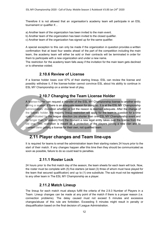Therefore it is not allowed that an organisation's academy team will participate in an ESL tournament or qualifier if…

- a) Another team of the organization has been invited to the main event.
- b) Another team of the organization has been invited to the closed qualifier.
- c) Another team of the organization has signed up for the same qualifier.

A special exception to this can only be made if the organization in question provides a written confirmation that at least four weeks ahead of the part of the competition including the main team, the academy team will either be sold or their contracts will be terminated in order for them to participate with a new organization and under a new name.

<span id="page-11-0"></span>The restriction for the academy team falls away if the invitation for the main team gets declined or is otherwise voided.

#### **2.10.6 Review of License**

<span id="page-11-1"></span>If a license holder loses over 67% of their starting lineup, ESL can review the license and possibly withdraw it, if the license-holder cannot convince ESL about his ability to continue in ESL MY Championship on a similar level of play.

#### **2.10.7 Changing the Team License Holder**

A license-holder can request a transfer of the ESL MY Championship license to another entity during a season, if there is an adequate reason for doing so. It is at the ESL MY Championship administrators' discretion whether or not the reason is deemed adequate. After the change of the license holder, the majority lineup restriction will apply for the team in question for a time span indicated by the league direction (no shorter than one ESL MY Championship event and no longer than ½ season) from the moment a new legal entity takes over the license from the old one. This restriction is meant as a protection of the players joining a new clan and to prevent clans getting a license for their own, not qualified team.

# <span id="page-11-2"></span>**2.11 Player changes and Team line-ups**

<span id="page-11-3"></span>It is required for teams to email the administration team their starting rosters 24 hours prior to the start of their match. If any changes happen after this time then they should be communicated as soon as possible, failure to do so could lead to penalties.

#### **2.11.1 Roster Lock**

24 hours prior to the first match day of the season, the team sheets for each team will lock. Now, the roster must be complete with (5) five starters (at least (3) three of whom must have played for the team that secured qualification) and up to (1) one substitute. The sub must not be registered to any other team in The ESL MY Championship as a player.

#### **2.11.2 Match Lineup**

<span id="page-11-4"></span>The lineup for each match must always fulfill the criteria of the 2.9.3 Number of Players in a Team. Lineup changes can be made at any point of the match if there is a proper reason (i.e. connection problems). The delay caused must not exceed 5 minutes and excessive changes/abuse of this rule are forbidden. Exceeding 5 minutes might result in penalty or disqualification based on the final decision of League Administration.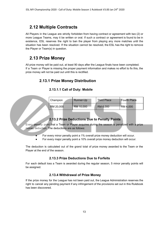# <span id="page-12-0"></span>**2.12 Multiple Contracts**

All Players in the League are strictly forbidden from having contract or agreement with two (2) or more League Teams, may it be written or oral. If such a contract or agreement is found to be in existence, ESL reserves the right to ban the player from playing any more matches until the situation has been resolved. If the situation cannot be resolved, the ESL has the right to remove the Player or Team(s) in question.

# <span id="page-12-1"></span>**2.13 Prize Money**

<span id="page-12-2"></span>All prize money will be paid out, at least 90 days after the League finals have been completed. If a Team or Player is missing the proper payment information and makes no effort to fix this, the prize money will not be paid out until this is rectified.

## <span id="page-12-3"></span>**2.13.1 Prize Money Distribution**

| Champion  | Runner-Up | <b>Third Place</b> | <b>Fourth Place</b> |
|-----------|-----------|--------------------|---------------------|
| RM 20,000 | RM 10,000 | RM 6,000           | RM 4,000            |

#### **2.13.1.1 Call of Duty: Mobile**

#### **2.13.2 Prize Deductions Due to Penalty Points**

Every penalty point that a Team or Player acquires during the season is penalized with a prize money deduction. The deductions are as follows:

For every minor penalty point a 1% overall prize money deduction will occur.

● For every major penalty point a 10% overall prize money deduction will occur.

<span id="page-12-4"></span>The deduction is calculated out of the grand total of prize money awarded to the Team or the Player at the end of the season.

#### **2.13.3 Prize Deductions Due to Forfeits**

<span id="page-12-5"></span>For each default loss a Team is awarded during the regular season, 5 minor penalty points will be assigned.

#### **2.13.4 Withdrawal of Prize Money**

If the prize money for the League has not been paid out, the League Administration reserves the right to cancel any pending payment if any infringement of the provisions set out in this Rulebook has been discovered.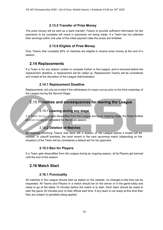#### **2.13.5 Transfer of Prize Money**

<span id="page-13-0"></span>The prize money will be sent as a bank transfer. Failure to provide sufficient information for the payments to be complete will result in payments not being made. If a Team has not collected their winnings within one year of the initial payment date the prizes are forfeited.

#### **2.13.6 Eligible of Prize Money**

<span id="page-13-2"></span><span id="page-13-1"></span>Only Teams that complete 85% of matches are eligible to receive prize money at the end of a season.

#### **2.14 Replacements**

If a Team is for any reason unable to compete further in the League, and is removed before the replacement deadline, a replacement will be called up. Replacement Teams will be considered and invited at the discretion of the League Administration.

#### **2.14.1 Replacement Deadline**

<span id="page-13-3"></span>Replacements will only be invited if the withdrawal of a team occurs prior to the third matchday of the League during the Second Stage.

# **2.15 Penalties and consequences for leaving the League**

#### **2.15.1 Leaving during any stage**

<span id="page-13-5"></span><span id="page-13-4"></span>If a Team leaves or gets disqualified from the League during an ongoing stage, the Team forfeits all prize money accumulated for the whole season.

#### **2.15.2 Deletion of Matches**

All matches involving Teams that have left a season of the League before it ended will be deleted. In playoff brackets, the most recent or the next upcoming match (depending on the situation) of the Team will be considered a default win for his opponent.

#### **2.15.3 Ban for Players**

<span id="page-13-6"></span>If a Team gets disqualified from the League during an ongoing season, all its Players get banned until the end of the season.

#### **2.16 Match Start**

#### **2.16.1 Punctuality**

<span id="page-13-7"></span>All matches in the League should start as stated on the website, no changes to the time can be requested. All Teams and Players in a match should be on the server or in the game lobby and ready to go at the latest 10 minutes before the match is to start. Each team should be ready to start the game 30 minutes prior to their official start time. If any team is not ready at this time then they are subject to penalties being applied.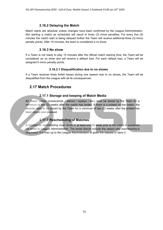#### **2.16.2 Delaying the Match**

<span id="page-14-0"></span>Match starts are absolute unless changes have been confirmed by the League Administration. Not starting a match as scheduled will result in three (3) minor penalties. For every five (5) minutes the match start is being delayed further the Team will receive additional three (3) minor penalty points. After 15 minutes, the team is considered a no show.

#### **2.16.3 No show**

<span id="page-14-1"></span>If a Team is not ready to play 15 minutes after the official match starting time, the Team will be considered as no show and will receive a default loss. For each default loss, a Team will be assigned 5 minor penalty points.

#### **2.16.3.1 Disqualification due to no shows**

<span id="page-14-3"></span><span id="page-14-2"></span>If a Team receives three forfeit losses during one season due to no shows, the Team will be disqualified from the League with all its consequences.

## **2.17 Match Procedures**

#### **2.17.1 Storage and keeping of Match Media**

All match media (screenshots / demos / replays / etc.) must be stored by the Team for a minimum of two (2) weeks after the match has ended. If there is a protest on the match, the records need to be stored by the Team for a minimum of two (2) weeks after the protest has been closed and resolved.

#### **2.17.2 Rescheduling of Matches**

<span id="page-14-5"></span><span id="page-14-4"></span>A request for rescheduling must come in at least one (1) week prior to the match in questions via email to League Administration. The email should include the reason why rescheduling is requested. It is then up to the League Administration to grant the request or deny it.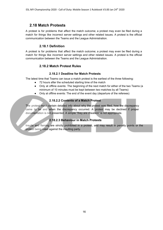# <span id="page-15-0"></span>**2.18 Match Protests**

A protest is for problems that affect the match outcome; a protest may even be filed during a match for things like incorrect server settings and other related issues. A protest is the official communication between the Teams and the League Administration.

#### **2.18.1 Definition**

A protest is for problems that affect the match outcome; a protest may even be filed during a match for things like incorrect server settings and other related issues. A protest is the official communication between the Teams and the League Administration.

#### **2.18.2 Match Protest Rules**

#### **2.18.2.1 Deadline for Match Protests**

<span id="page-15-1"></span>The latest time that Teams can issue a match protest is the earliest of the three following:

- 72 hours after the scheduled starting time of the match
- Only at offline events: The beginning of the next match for either of the two Teams (a minimum of 10 minutes must be kept between two matches by all Teams)
- Only at offline events: The end of the event day (departure of the referees)

#### **2.18.2.2 Contents of a Match Protest**

<span id="page-15-2"></span>The protest must contain detailed info about why the protest was filed, how the discrepancy came to be and when the discrepancy occurred. A protest may be declined if proper documentation is not presented. A simple "they are cheaters" is not appropriate.

#### **2.18.2.3 Behaviour in Match Protests**

<span id="page-15-3"></span>Insults and flaming are strictly prohibited in a protest, and may result in penalty points or the protest being ruled against the insulting party.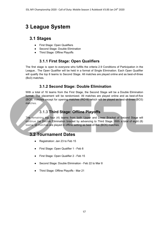# **3 League System**

# <span id="page-16-0"></span>**3.1 Stages**

- First Stage: Open Qualifiers
- Second Stage: Double Elimination
- Third Stage: Offline Playoffs

# **3.1.1 First Stage: Open Qualifiers**

<span id="page-16-1"></span>The first stage is open to everyone who fulfills the criteria 2.9 Conditions of Participation in the League.. The Open Qualifier will be held in a format of Single Elimination. Each Open Qualifier will qualify the top 8 teams to Second Stage. All matches are played online and as best-of-three (Bo3) matches.

# **3.1.2 Second Stage: Double Elimination**

<span id="page-16-2"></span>With a total of 16 teams from the First Stage, the Second Stage will be a Double Elimination format. The placement will be randomized. All matches are played online and as best-of-five (BO5) matches except for opening matches (RO16) which will be played as best-of-three (BO3) matches.

# **3.1.3 Third Stage: Offline Playoffs**

<span id="page-16-3"></span>The remaining top four (4) teams from both Upper and Lower Bracket of Second Stage will continue the Double Elimination bracket by advancing to Third Stage. With a total of eight (8) teams, all matches are played in offline setting as best-of-five (BO5) matches.

# <span id="page-16-4"></span>**3.2 Tournament Dates**

- Registration: Jan 23 to Feb 15
- First Stage: Open Qualifier 1 Feb 8
- First Stage: Open Qualifier 2 Feb 15
- Second Stage: Double Elimination Feb 22 to Mar 8
- Third Stage: Offline Playoffs Mar 21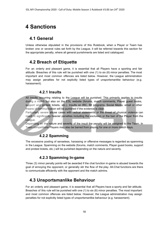# <span id="page-17-0"></span>**4 Sanctions**

# **4.1 General**

Unless otherwise stipulated in the provisions of this Rulebook, when a Player or Team has broken one or several rules set forth by the League, it will be referred towards this section for the appropriate penalty, where all general punishments are listed and catalogued.

# <span id="page-17-1"></span>**4.2 Breach of Etiquette**

For an orderly and pleasant game, it is essential that all Players have a sporting and fair attitude. Breaches of this rule will be punished with one (1) to six (6) minor penalties. The most important and most common offences are listed below. However, the League administration may assign penalties for not explicitly listed types of unsportsmanlike behaviour (e.g. harassment).

#### **4.2.1 Insults**

<span id="page-17-2"></span>All insults occurring relating to the League will be punished. This primarily applies to insults during a match but also on the ESL website (forums, match comments, Player guest books, support and protest tickets, etc.). Insults on IRC, IM programs, Social Media, email or other means of communication will be punished if the evidence is clear.

Particularly severe abuse cases with radical statements or the threat of physical violence can result in significantly heavier penalties including the exclusion or the ban of the Player from the League.

<span id="page-17-3"></span>Depending on the nature and severity of the insult the penalty will be assigned to the Team. In Team competitions Players may also be barred from playing for one or more match days.

# **4.2.2 Spamming**

The excessive posting of senseless, harassing or offensive messages is regarded as spamming in the League. Spamming on the website (forums, match comments, Player guest books, support and protest tickets, etc.) will be punished depending on the nature and severity.

# **4.2.3 Spamming In-game**

Three (3) minor penalty points will be awarded if the chat function in-game is abused towards the goal of annoying the opponent, or generally stir the flow of the play. All-Chat functions are there to communicate efficiently with the opponent and the match admins.

# <span id="page-17-4"></span>**4.3 Unsportsmanlike Behaviour**

For an orderly and pleasant game, it is essential that all Players have a sporty and fair attitude. Breaches of this rule will be punished with one (1) to six (6) minor penalties. The most important and most common offences are listed below. However, the League administration may assign penalties for not explicitly listed types of unsportsmanlike behaviour (e.g. harassment).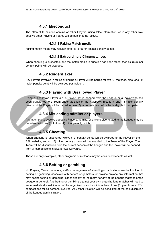### **4.3.1 Misconduct**

<span id="page-18-1"></span><span id="page-18-0"></span>The attempt to mislead admins or other Players, using false information, or in any other way deceive other Players or Teams will be punished as follows.

#### **4.3.1.1 Faking Match media**

<span id="page-18-2"></span>Faking match media may result in one (1) to four (4) minor penalty points.

#### **4.3.1.2 Extraordinary Circumstances**

<span id="page-18-3"></span>When cheating is suspected, and the match media in question has been faked, then six (6) minor penalty points will be awarded.

#### **4.3.2 Ringer/Faker**

<span id="page-18-4"></span>Any Players involved in faking or ringing a Player will be barred for two (2) matches, also, one (1) major penalty point will be awarded per incident.

## **4.3.3 Playing with Disallowed Player**

<span id="page-18-5"></span>Using a disallowed Player (i.e. a Player that is banned from the League or a Player who has been transferred to a Team under violation of the Rulebook) results in one (1) major penalty point, and the Player will be barred for two (2) more matches before he is eligible to compete.

# **4.3.4 Misleading admins or players**

<span id="page-18-6"></span>Any attempts to deceive opposing Players, admins, or anyone else related to the League may be penalized with one (1) to four (4) minor penalty points.

# **4.3.5 Cheating**

When cheating is uncovered twelve (12) penalty points will be awarded to the Player on the ESL website, and six (6) minor penalty points will be awarded to the Team of the Player. The Team will be disqualified from the current season of the League and the Player will be banned from all competitions in ESL for two (2) years.

<span id="page-18-7"></span>These are only examples, other programs or methods may be considered cheats as well.

# **4.3.6 Betting or gambling**

No Players, Team managers, staff or management of attending organizations may be involved in betting or gambling, associate with betters or gamblers, or provide anyone any information that may assist betting or gambling, either directly or indirectly, for any of the League matches or the League in general. Any betting or gambling against your own organizations matches will lead to an immediate disqualification of the organization and a minimal ban of one (1) year from all ESL competitions for all persons involved. Any other violation will be penalized at the sole discretion of the League administration.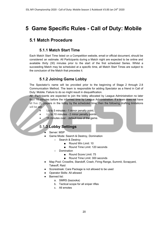# <span id="page-19-1"></span><span id="page-19-0"></span>**5 Game Specific Rules - Call of Duty: Mobile**

# <span id="page-19-2"></span>**5.1 Match Procedure**

#### **5.1.1 Match Start Time**

Each Match Start Time listed on a Competition website, email or official document, should be considered an estimate. All Participants during a Match night are expected to be online and available thirty (30) minutes prior to the start of the first scheduled Series. Whilst a succeeding Match may be scheduled at a specific time, all Match Start Times are subject to the conclusion of the Match that precedes it.

#### **5.1.2 Joining Game Lobby**

<span id="page-19-3"></span>The Spectator's name will be provided prior to the beginning of Stage 2 through 2.8 Communication Method. The team is responsible for adding Spectator as a friend in Call of Duty: Mobile. Failure to do so might result in disqualification.

All Participants are expected to join the lobby allocated by League Administration no later than 10 minutes before the informed time by League Administration. If a team does not have all five (5) players in the lobby by the scheduled time, then the following drafting limitations will be set:

- Up to 5 minutes 1 minor penalty point.
- Up to 10 minutes 2 minor penalty points.
- <span id="page-19-4"></span>15 minutes over - default loss of the game.

# **5.1.3 Lobby Settings**

- Server: MSP
- Game Mode: Search & Destroy, Domination
	- Search & Destroy
		- Round Win Limit: 10
		- Round Time Limit: 120 seconds
	- Domination
		- Round Score Limit: 75
		- Round Time Limit: 300 seconds
- Map Pool: Crossfire, Standoff, Crash, Firing Range, Summit, Scrapyard, Takeoff, Raid
- Scorestreak: Care Package is not allowed to be used
- Operator Skills: All allowed
- **Banned list:** 
	- a. SMRS (bazooka)
	- b. Tactical scope for all sniper rifles
	- c. All emotes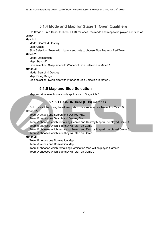# **5.1.4 Mode and Map for Stage 1: Open Qualifiers**

<span id="page-20-0"></span>On Stage 1, In a Best-Of-Three (BO3) matches, the mode and map to be played are fixed as below:

#### **Match 1:**

Mode: Search & Destroy Map: Crash Side Selection: Team with higher seed gets to choose Blue Team or Red Team **Match 2:** Mode: Domination Map: Standoff Side selection: Swap side with Winner of Side Selection in Match 1 **Match 3:** Mode: Search & Destroy Map: Firing Range Side selection: Swap side with Winner of Side Selection in Match 2

# **5.1.5 Map and Side Selection**

<span id="page-20-2"></span><span id="page-20-1"></span>Map and side selection are only applicable to Stage 2 & 3.

#### **5.1.5.1 Best-Of-Three (BO3) matches**

Coin toss will be done, the winner gets to choose to act as Team A or Team B. **Match 1&3:**

Team A vetoes one Search and Destroy Map.

Team B vetoes one Search and Destroy Map.

Team A chooses which remaining Search and Destroy Map will be played Game 1.

Team B chooses which side they will start on Game 1.

Team B chooses which remaining Search and Destroy Map will be played Game 3.

Team A chooses which side they will start on Game 3.

#### **Match 2:**

Team B vetoes one Domination Map.

Team A vetoes one Domination Map.

Team B chooses which remaining Domination Map will be played Game 2.

Team A chooses which side they will start on Game 2.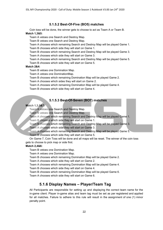#### **5.1.5.2 Best-Of-Five (BO5) matches**

<span id="page-21-0"></span>Coin toss will be done, the winner gets to choose to act as Team A or Team B. **Match 1,3&5:**

Team A vetoes one Search and Destroy Map.

Team B vetoes one Search and Destroy Map.

Team A chooses which remaining Search and Destroy Map will be played Game 1. Team B chooses which side they will start on Game 1.

Team B chooses which remaining Search and Destroy Map will be played Game 3. Team A chooses which side they will start on Game 3.

Team A chooses which remaining Search and Destroy Map will be played Game 5. Team B chooses which side they will start on Game 5.

#### **Match 2&4:**

Team B vetoes one Domination Map.

Team A vetoes one DominationMap.

Team B chooses which remaining Domination Map will be played Game 2.

Team A chooses which sides they will start on Game 2.

Team A chooses which remaining Domination Map will be played Game 4.

Team B chooses which side they will start on Game 4.

#### **5.1.5.3 Best-Of-Seven (BO7) matches**

#### <span id="page-21-1"></span>**Match 1,3,5&7:**

Team A vetoes one Search and Destroy Map.

Team B vetoes one Search and Destroy Map.

Team A chooses which remaining Search and Destroy Map will be played Game 1.

Team B chooses which side they will start on Game 1.

Team B chooses which remaining Search and Destroy Map will be played Game 3.

Team A chooses which side they will start on Game 3.

Team A chooses which remaining Search and Destroy Map will be played Game 5. Team B chooses which side they will start on Game 5.

On Game 7, Coin Toss will be done and all maps will be reset. The winner of the coin toss gets to choose to pick map or side first.

#### **Match 2,4&6:**

Team B vetoes one Domination Map.

Team A vetoes one Domination Map.

Team B chooses which remaining Domination Map will be played Game 2.

Team A chooses which side they will start on Game 2.

Team A chooses which remaining Domination Map will be played Game 4.

Team B chooses which side they will start on Game 4.

Team B chooses which remaining Domination Map will be played Game 6.

<span id="page-21-2"></span>Team A chooses which side they will start on Game 6.

#### **5.1.6 Display Names – Player/Team Tag**

All Participants are responsible for setting up and displaying the correct team name for the in-game client. Player in-game alias and team tag must be set as per registered and applied for all matches. Failure to adhere to this rule will result in the assignment of one (1) minor penalty point.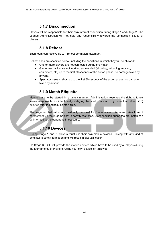# **5.1.7 Disconnection**

<span id="page-22-0"></span>Players will be responsible for their own internet connection during Stage 1 and Stage 2. The League Administration will not hold any responsibility towards the connection issues of players.

### **5.1.8 Rehost**

<span id="page-22-1"></span>Each team can receive up to 1 rehost per match maximum.

Rehost rules are specified below, including the conditions in which they will be allowed:

- One or more players are not connected during pre-match
- Game mechanics are not working as intended (shooting, reloading, moving, equipment, etc) up to the first 30 seconds of the action phase, no damage taken by anyone.
- Spectator issue rehost up to the first 30 seconds of the action phase, no damage taken by anyone.

# **5.1.9 Match Etiquette**

<span id="page-22-2"></span>Matches are to be started in a timely manner. Administration reserves the right to forfeit teams responsible for intentionally delaying the start of a match by more than fifteen (15) minutes after the scheduled start time.

The in-game chat (all chat) must only be used for Game related discussion. Any form of harassment via the in-game chat is heavily restricted. Disconnection during the pre-match can be informed to the opponent if necessary.

# **5.1.10 Devices**

<span id="page-22-3"></span>During Stage 1 and 2, players must use their own mobile devices. Playing with any kind of emulator is strictly forbidden and will result in disqualification.

On Stage 3, ESL will provide the mobile devices which have to be used by all players during the tournaments of Playoffs. Using your own device isn't allowed.